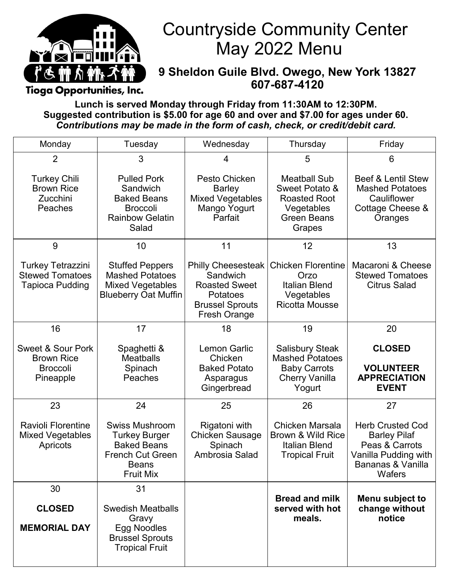

## Countryside Community Center May 2022 Menu

#### **9 Sheldon Guile Blvd. Owego, New York 13827 607-687-4120**

Tioga Opportunities, Inc.

**Lunch is served Monday through Friday from 11:30AM to 12:30PM. Suggested contribution is \$5.00 for age 60 and over and \$7.00 for ages under 60.**  *Contributions may be made in the form of cash, check, or credit/debit card.* 

| Monday                                                                            | Tuesday                                                                                                                     | Wednesday                                                                                                           | Thursday                                                                                                   | Friday                                                                                                                  |
|-----------------------------------------------------------------------------------|-----------------------------------------------------------------------------------------------------------------------------|---------------------------------------------------------------------------------------------------------------------|------------------------------------------------------------------------------------------------------------|-------------------------------------------------------------------------------------------------------------------------|
| $\overline{2}$                                                                    | 3                                                                                                                           | 4                                                                                                                   | 5                                                                                                          | 6                                                                                                                       |
| <b>Turkey Chili</b><br><b>Brown Rice</b><br>Zucchini<br>Peaches                   | <b>Pulled Pork</b><br>Sandwich<br><b>Baked Beans</b><br><b>Broccoli</b><br><b>Rainbow Gelatin</b><br>Salad                  | Pesto Chicken<br><b>Barley</b><br><b>Mixed Vegetables</b><br>Mango Yogurt<br>Parfait                                | <b>Meatball Sub</b><br>Sweet Potato &<br><b>Roasted Root</b><br>Vegetables<br><b>Green Beans</b><br>Grapes | <b>Beef &amp; Lentil Stew</b><br><b>Mashed Potatoes</b><br>Cauliflower<br>Cottage Cheese &<br>Oranges                   |
| 9                                                                                 | 10                                                                                                                          | 11                                                                                                                  | 12                                                                                                         | 13                                                                                                                      |
| <b>Turkey Tetrazzini</b><br><b>Stewed Tomatoes</b><br><b>Tapioca Pudding</b>      | <b>Stuffed Peppers</b><br><b>Mashed Potatoes</b><br><b>Mixed Vegetables</b><br><b>Blueberry Oat Muffin</b>                  | <b>Philly Cheesesteak</b><br>Sandwich<br><b>Roasted Sweet</b><br>Potatoes<br><b>Brussel Sprouts</b><br>Fresh Orange | <b>Chicken Florentine</b><br>Orzo<br><b>Italian Blend</b><br>Vegetables<br><b>Ricotta Mousse</b>           | Macaroni & Cheese<br><b>Stewed Tomatoes</b><br><b>Citrus Salad</b>                                                      |
| 16                                                                                | 17                                                                                                                          | 18                                                                                                                  | 19                                                                                                         | 20                                                                                                                      |
| <b>Sweet &amp; Sour Pork</b><br><b>Brown Rice</b><br><b>Broccoli</b><br>Pineapple | Spaghetti &<br><b>Meatballs</b><br>Spinach<br>Peaches                                                                       | <b>Lemon Garlic</b><br>Chicken<br><b>Baked Potato</b><br>Asparagus<br>Gingerbread                                   | <b>Salisbury Steak</b><br><b>Mashed Potatoes</b><br><b>Baby Carrots</b><br><b>Cherry Vanilla</b><br>Yogurt | <b>CLOSED</b><br><b>VOLUNTEER</b><br><b>APPRECIATION</b><br><b>EVENT</b>                                                |
| 23                                                                                | 24                                                                                                                          | 25                                                                                                                  | 26                                                                                                         | 27                                                                                                                      |
| <b>Ravioli Florentine</b><br><b>Mixed Vegetables</b><br>Apricots                  | <b>Swiss Mushroom</b><br>Turkey Burger<br><b>Baked Beans</b><br><b>French Cut Green</b><br><b>Beans</b><br><b>Fruit Mix</b> | Rigatoni with<br><b>Chicken Sausage</b><br>Spinach<br>Ambrosia Salad                                                | <b>Chicken Marsala</b><br>Brown & Wild Rice<br><b>Italian Blend</b><br><b>Tropical Fruit</b>               | <b>Herb Crusted Cod</b><br><b>Barley Pilaf</b><br>Peas & Carrots<br>Vanilla Pudding with<br>Bananas & Vanilla<br>Wafers |
| 30                                                                                | 31                                                                                                                          |                                                                                                                     | <b>Bread and milk</b>                                                                                      |                                                                                                                         |
| <b>CLOSED</b><br><b>MEMORIAL DAY</b>                                              | <b>Swedish Meatballs</b><br>Gravy<br>Egg Noodles<br><b>Brussel Sprouts</b><br><b>Tropical Fruit</b>                         |                                                                                                                     | served with hot<br>meals.                                                                                  | Menu subject to<br>change without<br>notice                                                                             |